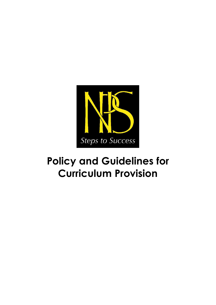

# **Policy and Guidelines for Curriculum Provision**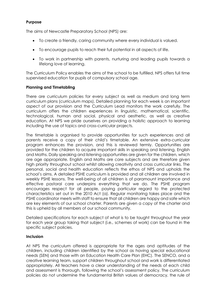### **Purpose**

The aims of Newcastle Preparatory School (NPS) are:

- To create a friendly, caring community where every individual is valued.
- To encourage pupils to reach their full potential in all aspects of life.
- To work in partnership with parents, nurturing and leading pupils towards a lifelong love of learning.

The Curriculum Policy enables the aims of the school to be fulfilled. NPS offers full time supervised education for pupils of compulsory school age.

### **Planning and Timetabling**

There are curriculum policies for every subject as well as medium and long term curriculum plans (curriculum maps). Detailed planning for each week is an important aspect of our provision and the Curriculum Lead monitors the work carefully. The curriculum offers the children experiences in linguistic, mathematical, scientific, technological, human and social, physical and aesthetic, as well as creative education. At NPS we pride ourselves on providing a holistic approach to learning including the use of topics and cross-curricular projects.

The timetable is organised to provide opportunities for such experiences and all parents receive a copy of their child's timetable. An extensive extra-curricular program enhances the provision, and this is reviewed termly. Opportunities are provided for the children to acquire important skills in speaking and listening, English and Maths. Daily speaking and listening opportunities are given for the children, which are age appropriate. English and Maths are core subjects and are therefore given high priority throughout school whilst allowing creativity and cross curricular links. The personal, social and health education reflects the ethos of NPS and upholds the school's aims. A detailed PSHE curriculum is provided and all children are involved in weekly PSHE lessons. The well-being of all children is of paramount importance and effective pastoral care underpins everything that we do. The PSHE program encourages respect for all people, paying particular regard to the protected characteristics set out in the 2010 Act (a). Regular monitoring takes place and the PSHE coordinator meets with staff to ensure that all children are happy and safe which are key elements of our school charter. Parents are given a copy of the charter and this is upheld by all members of our school community.

Detailed specifications for each subject of what is to be taught throughout the year for each year group taking that subject (i.e., schemes of work) can be found in the specific subject policies.

## **Inclusion**

At NPS the curriculum offered is appropriate for the ages and aptitudes of the children, including children identified by the school as having special educational needs (SEN) and those with an Education Health Care Plan (EHC). The SENCO, and a creative learning team, support children throughout school and work is differentiated appropriately. All teachers have a clear understanding of the needs of each child and assessment is thorough, following the school's assessment policy. The curriculum policies do not undermine the fundamental British values of democracy, the rule of